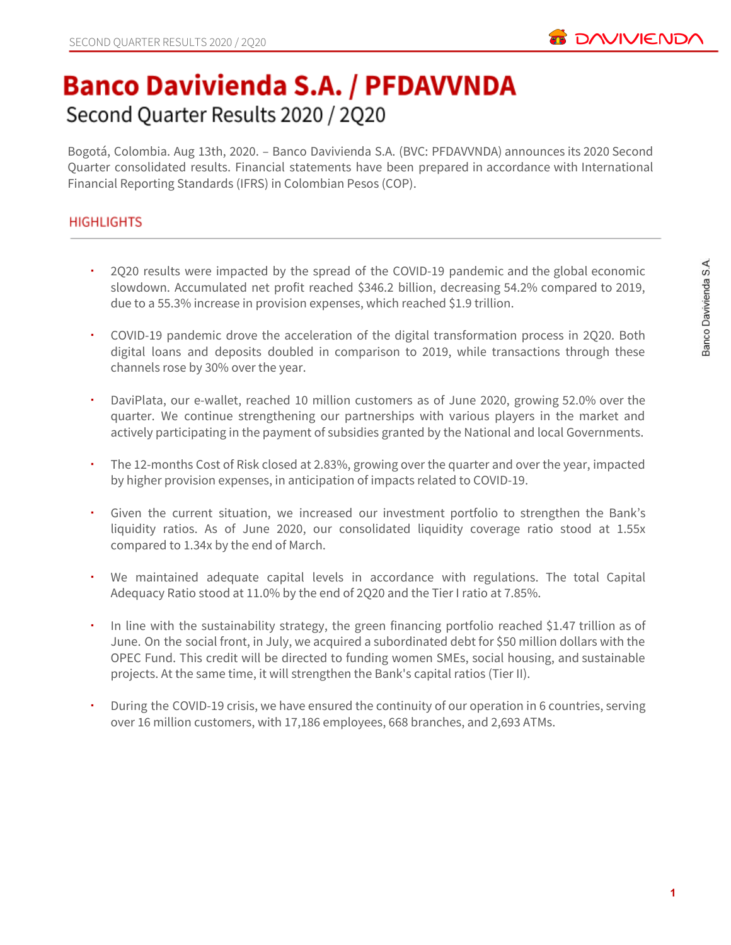

# **Banco Davivienda S.A. / PFDAVVNDA** Second Quarter Results 2020 / 2Q20

Bogotá, Colombia. Aug 13th, 2020. – Banco Davivienda S.A. (BVC: PFDAVVNDA) announces its 2020 Second Quarter consolidated results. Financial statements have been prepared in accordance with International Financial Reporting Standards (IFRS) in Colombian Pesos (COP).

# **HIGHLIGHTS**

- 2Q20 results were impacted by the spread of the COVID-19 pandemic and the global economic slowdown. Accumulated net profit reached \$346.2 billion, decreasing 54.2% compared to 2019, due to a 55.3% increase in provision expenses, which reached \$1.9 trillion.
- COVID-19 pandemic drove the acceleration of the digital transformation process in 2Q20. Both digital loans and deposits doubled in comparison to 2019, while transactions through these channels rose by 30% over the year.
- DaviPlata, our e-wallet, reached 10 million customers as of June 2020, growing 52.0% over the quarter. We continue strengthening our partnerships with various players in the market and actively participating in the payment of subsidies granted by the National and local Governments.
- The 12-months Cost of Risk closed at 2.83%, growing over the quarter and over the year, impacted by higher provision expenses, in anticipation of impacts related to COVID-19.
- Given the current situation, we increased our investment portfolio to strengthen the Bank's liquidity ratios. As of June 2020, our consolidated liquidity coverage ratio stood at 1.55x compared to 1.34x by the end of March.
- We maintained adequate capital levels in accordance with regulations. The total Capital Adequacy Ratio stood at 11.0% by the end of 2Q20 and the Tier I ratio at 7.85%.
- In line with the sustainability strategy, the green financing portfolio reached \$1.47 trillion as of June. On the social front, in July, we acquired a subordinated debt for \$50 million dollars with the OPEC Fund. This credit will be directed to funding women SMEs, social housing, and sustainable projects. At the same time, it will strengthen the Bank's capital ratios (Tier II).
- During the COVID-19 crisis, we have ensured the continuity of our operation in 6 countries, serving over 16 million customers, with 17,186 employees, 668 branches, and 2,693 ATMs.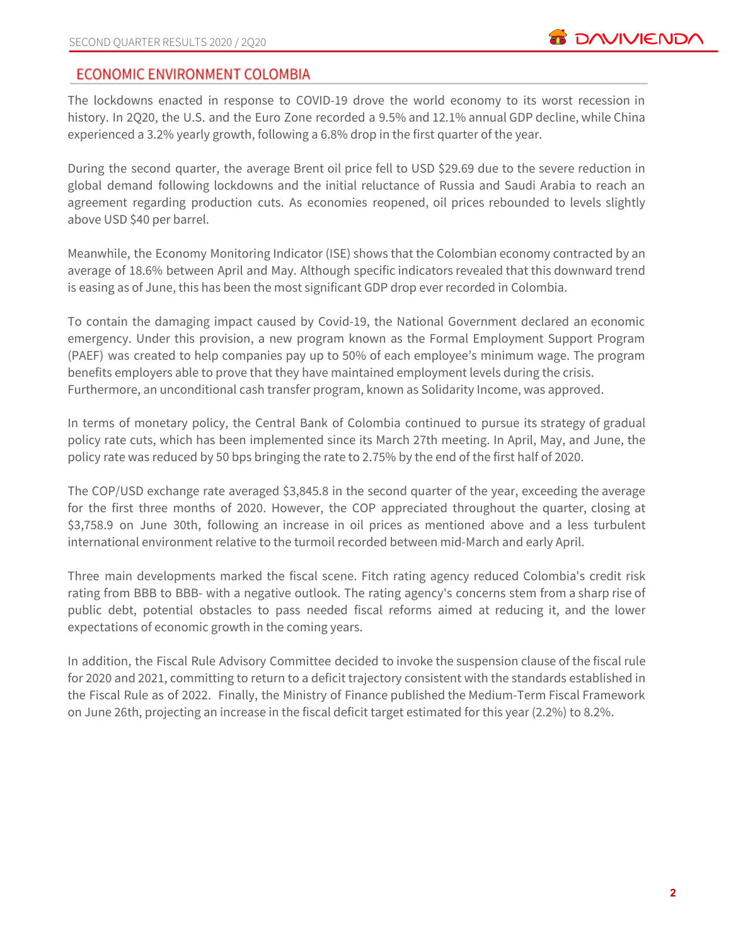# **ECONOMIC ENVIRONMENT COLOMBIA**

The lockdowns enacted in response to COVID-19 drove the world economy to its worst recession in history. In 2Q20, the U.S. and the Euro Zone recorded a 9.5% and 12.1% annual GDP decline, while China experienced a 3.2% yearly growth, following a 6.8% drop in the first quarter of the year.

During the second quarter, the average Brent oil price fell to USD \$29.69 due to the severe reduction in global demand following lockdowns and the initial reluctance of Russia and Saudi Arabia to reach an agreement regarding production cuts. As economies reopened, oil prices rebounded to levels slightly above USD \$40 per barrel.

Meanwhile, the Economy Monitoring Indicator (ISE) shows that the Colombian economy contracted by an average of 18.6% between April and May. Although specific indicators revealed that this downward trend is easing as of June, this has been the most significant GDP drop ever recorded in Colombia.

To contain the damaging impact caused by Covid-19, the National Government declared an economic emergency. Under this provision, a new program known as the Formal Employment Support Program (PAEF) was created to help companies pay up to 50% of each employee's minimum wage. The program benefits employers able to prove that they have maintained employment levels during the crisis. Furthermore, an unconditional cash transfer program, known as Solidarity Income, was approved.

In terms of monetary policy, the Central Bank of Colombia continued to pursue its strategy of gradual policy rate cuts, which has been implemented since its March 27th meeting. In April, May, and June, the policy rate was reduced by 50 bps bringing the rate to 2.75% by the end of the first half of 2020.

The COP/USD exchange rate averaged \$3,845.8 in the second quarter of the year, exceeding the average for the first three months of 2020. However, the COP appreciated throughout the quarter, closing at \$3,758.9 on June 30th, following an increase in oil prices as mentioned above and a less turbulent international environment relative to the turmoil recorded between mid-March and early April.

Three main developments marked the fiscal scene. Fitch rating agency reduced Colombia's credit risk rating from BBB to BBB- with a negative outlook. The rating agency's concerns stem from a sharp rise of public debt, potential obstacles to pass needed fiscal reforms aimed at reducing it, and the lower expectations of economic growth in the coming years.

In addition, the Fiscal Rule Advisory Committee decided to invoke the suspension clause of the fiscal rule for 2020 and 2021, committing to return to a deficit trajectory consistent with the standards established in the Fiscal Rule as of 2022. Finally, the Ministry of Finance published the Medium-Term Fiscal Framework on June 26th, projecting an increase in the fiscal deficit target estimated for this year (2.2%) to 8.2%.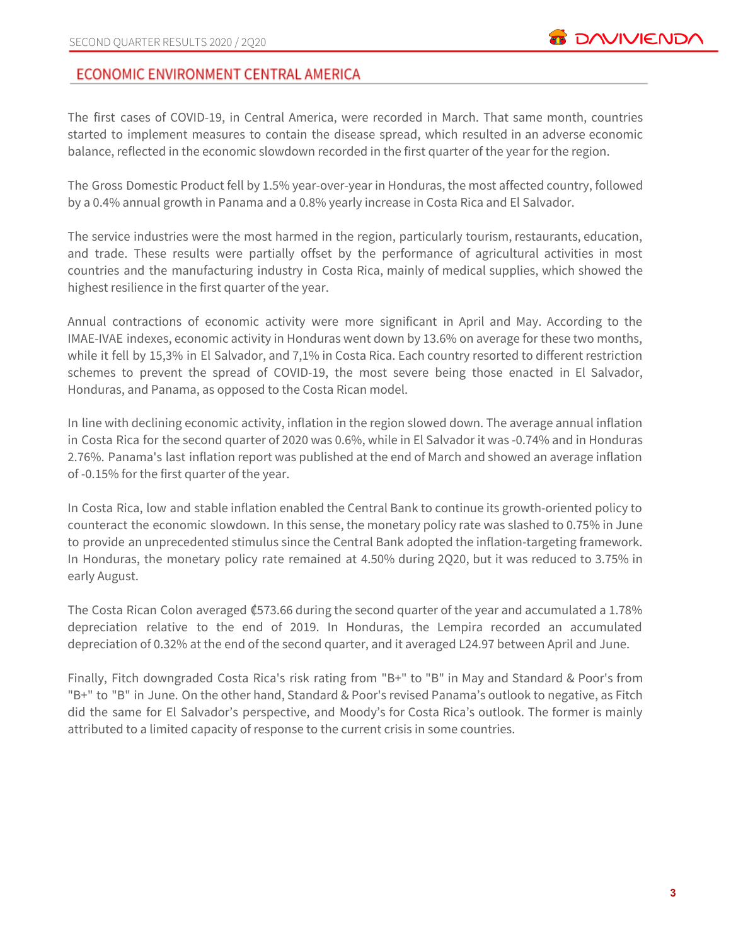# ECONOMIC ENVIRONMENT CENTRAL AMERICA

The first cases of COVID-19, in Central America, were recorded in March. That same month, countries started to implement measures to contain the disease spread, which resulted in an adverse economic balance, reflected in the economic slowdown recorded in the first quarter of the year for the region.

The Gross Domestic Product fell by 1.5% year-over-year in Honduras, the most affected country, followed by a 0.4% annual growth in Panama and a 0.8% yearly increase in Costa Rica and El Salvador.

The service industries were the most harmed in the region, particularly tourism, restaurants, education, and trade. These results were partially offset by the performance of agricultural activities in most countries and the manufacturing industry in Costa Rica, mainly of medical supplies, which showed the highest resilience in the first quarter of the year.

Annual contractions of economic activity were more significant in April and May. According to the IMAE-IVAE indexes, economic activity in Honduras went down by 13.6% on average for these two months, while it fell by 15,3% in El Salvador, and 7,1% in Costa Rica. Each country resorted to different restriction schemes to prevent the spread of COVID-19, the most severe being those enacted in El Salvador, Honduras, and Panama, as opposed to the Costa Rican model.

In line with declining economic activity, inflation in the region slowed down. The average annual inflation in Costa Rica for the second quarter of 2020 was 0.6%, while in El Salvador it was -0.74% and in Honduras 2.76%. Panama's last inflation report was published at the end of March and showed an average inflation of -0.15% for the first quarter of the year.

In Costa Rica, low and stable inflation enabled the Central Bank to continue its growth-oriented policy to counteract the economic slowdown. In this sense, the monetary policy rate was slashed to 0.75% in June to provide an unprecedented stimulus since the Central Bank adopted the inflation-targeting framework. In Honduras, the monetary policy rate remained at 4.50% during 2Q20, but it was reduced to 3.75% in early August.

The Costa Rican Colon averaged ₡573.66 during the second quarter of the year and accumulated a 1.78% depreciation relative to the end of 2019. In Honduras, the Lempira recorded an accumulated depreciation of 0.32% at the end of the second quarter, and it averaged L24.97 between April and June.

Finally, Fitch downgraded Costa Rica's risk rating from "B+" to "B" in May and Standard & Poor's from "B+" to "B" in June. On the other hand, Standard & Poor's revised Panama's outlook to negative, as Fitch did the same for El Salvador's perspective, and Moody's for Costa Rica's outlook. The former is mainly attributed to a limited capacity of response to the current crisis in some countries.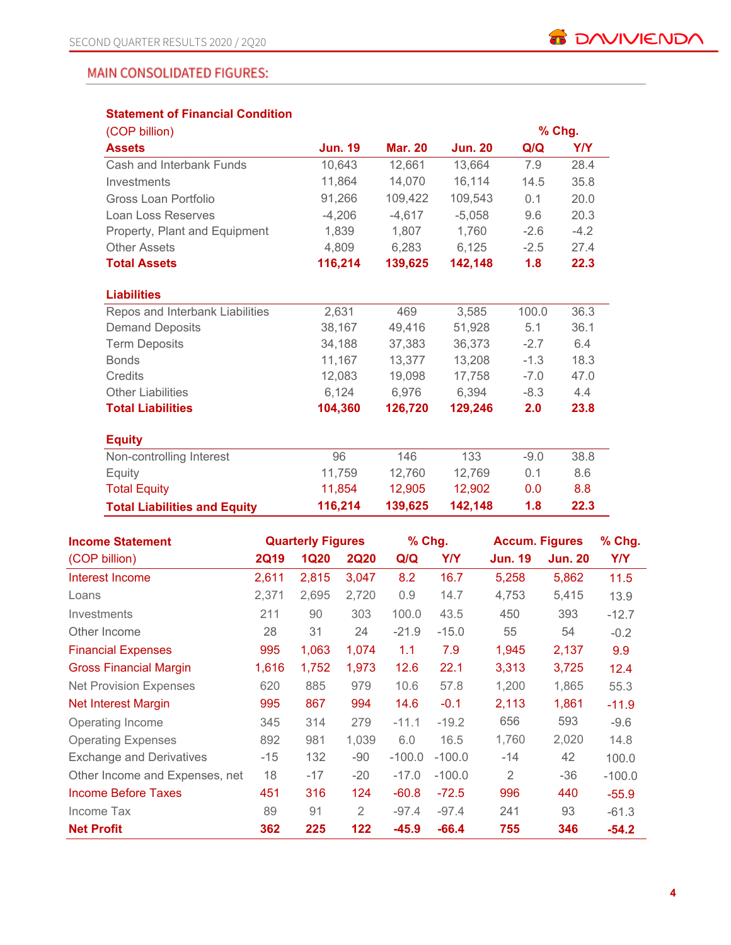# **MAIN CONSOLIDATED FIGURES:**

# **Statement of Financial Condition**

| (COP billion)                       |                |                |                | % Chg. |            |
|-------------------------------------|----------------|----------------|----------------|--------|------------|
| <b>Assets</b>                       | <b>Jun. 19</b> | <b>Mar. 20</b> | <b>Jun. 20</b> | Q/Q    | <b>Y/Y</b> |
| Cash and Interbank Funds            | 10,643         | 12,661         | 13,664         | 7.9    | 28.4       |
| Investments                         | 11,864         | 14,070         | 16,114         | 14.5   | 35.8       |
| Gross Loan Portfolio                | 91,266         | 109,422        | 109,543        | 0.1    | 20.0       |
| Loan Loss Reserves                  | $-4,206$       | $-4,617$       | $-5,058$       | 9.6    | 20.3       |
| Property, Plant and Equipment       | 1,839          | 1,807          | 1,760          | $-2.6$ | $-4.2$     |
| <b>Other Assets</b>                 | 4,809          | 6,283          | 6,125          | $-2.5$ | 27.4       |
| <b>Total Assets</b>                 | 116,214        | 139,625        | 142,148        | 1.8    | 22.3       |
|                                     |                |                |                |        |            |
| <b>Liabilities</b>                  |                |                |                |        |            |
| Repos and Interbank Liabilities     | 2,631          | 469            | 3,585          | 100.0  | 36.3       |
| <b>Demand Deposits</b>              | 38,167         | 49.416         | 51.928         | 5.1    | 36.1       |
| <b>Term Deposits</b>                | 34,188         | 37,383         | 36,373         | $-2.7$ | 6.4        |
| <b>Bonds</b>                        | 11,167         | 13,377         | 13,208         | $-1.3$ | 18.3       |
| Credits                             | 12,083         | 19,098         | 17,758         | $-7.0$ | 47.0       |
| <b>Other Liabilities</b>            | 6,124          | 6,976          | 6,394          | $-8.3$ | 4.4        |
| <b>Total Liabilities</b>            | 104,360        | 126,720        | 129,246        | 2.0    | 23.8       |
|                                     |                |                |                |        |            |
| <b>Equity</b>                       |                |                |                |        |            |
| Non-controlling Interest            | 96             | 146            | 133            | $-9.0$ | 38.8       |
| Equity                              | 11,759         | 12.760         | 12,769         | 0.1    | 8.6        |
| <b>Total Equity</b>                 | 11,854         | 12,905         | 12,902         | 0.0    | 8.8        |
| <b>Total Liabilities and Equity</b> | 116,214        | 139,625        | 142,148        | 1.8    | 22.3       |

| <b>Income Statement</b>         | <b>Quarterly Figures</b> |             |             | % Chg.   |            | <b>Accum. Figures</b> | % Chg.         |            |
|---------------------------------|--------------------------|-------------|-------------|----------|------------|-----------------------|----------------|------------|
| (COP billion)                   | <b>2Q19</b>              | <b>1Q20</b> | <b>2Q20</b> | Q/Q      | <b>Y/Y</b> | <b>Jun. 19</b>        | <b>Jun. 20</b> | <b>Y/Y</b> |
| Interest Income                 | 2,611                    | 2,815       | 3,047       | 8.2      | 16.7       | 5,258                 | 5,862          | 11.5       |
| Loans                           | 2,371                    | 2,695       | 2,720       | 0.9      | 14.7       | 4,753                 | 5,415          | 13.9       |
| Investments                     | 211                      | 90          | 303         | 100.0    | 43.5       | 450                   | 393            | $-12.7$    |
| Other Income                    | 28                       | 31          | 24          | $-21.9$  | $-15.0$    | 55                    | 54             | $-0.2$     |
| <b>Financial Expenses</b>       | 995                      | 1,063       | 1,074       | 1.1      | 7.9        | 1,945                 | 2,137          | 9.9        |
| <b>Gross Financial Margin</b>   | 1,616                    | 1,752       | 1,973       | 12.6     | 22.1       | 3,313                 | 3,725          | 12.4       |
| <b>Net Provision Expenses</b>   | 620                      | 885         | 979         | 10.6     | 57.8       | 1,200                 | 1,865          | 55.3       |
| <b>Net Interest Margin</b>      | 995                      | 867         | 994         | 14.6     | $-0.1$     | 2,113                 | 1,861          | $-11.9$    |
| Operating Income                | 345                      | 314         | 279         | $-11.1$  | $-19.2$    | 656                   | 593            | $-9.6$     |
| <b>Operating Expenses</b>       | 892                      | 981         | 1,039       | 6.0      | 16.5       | 1,760                 | 2,020          | 14.8       |
| <b>Exchange and Derivatives</b> | $-15$                    | 132         | -90         | $-100.0$ | $-100.0$   | -14                   | 42             | 100.0      |
| Other Income and Expenses, net  | 18                       | $-17$       | $-20$       | $-17.0$  | $-100.0$   | 2                     | $-36$          | $-100.0$   |
| <b>Income Before Taxes</b>      | 451                      | 316         | 124         | $-60.8$  | $-72.5$    | 996                   | 440            | $-55.9$    |
| Income Tax                      | 89                       | 91          | 2           | $-97.4$  | $-97.4$    | 241                   | 93             | $-61.3$    |
| <b>Net Profit</b>               | 362                      | 225         | 122         | $-45.9$  | $-66.4$    | 755                   | 346            | $-54.2$    |

**B** DAVIVIENDA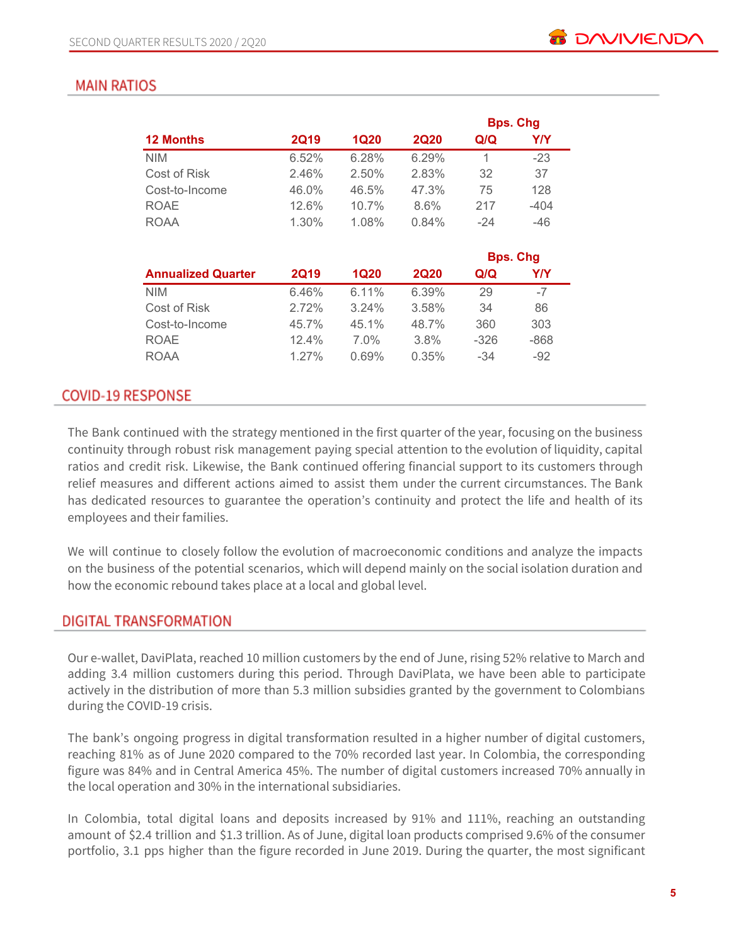# **MAIN RATIOS**

|                           |             |             |             |                 | <b>Bps. Chg</b> |  |
|---------------------------|-------------|-------------|-------------|-----------------|-----------------|--|
| <b>12 Months</b>          | <b>2Q19</b> | <b>1Q20</b> | <b>2Q20</b> | Q/Q             | Y/Y             |  |
| <b>NIM</b>                | 6.52%       | 6.28%       | 6.29%       | 1               | $-23$           |  |
| Cost of Risk              | 2.46%       | 2.50%       | 2.83%       | 32              | 37              |  |
| Cost-to-Income            | 46.0%       | 46.5%       | 47.3%       | 75              | 128             |  |
| <b>ROAE</b>               | 12.6%       | 10.7%       | $8.6\%$     | 217             | $-404$          |  |
| ROAA                      | 1.30%       | 1.08%       | 0.84%       | $-24$           | -46             |  |
|                           |             |             |             | <b>Bps. Chg</b> |                 |  |
| <b>Annualized Quarter</b> | <b>2Q19</b> | <b>1Q20</b> | <b>2Q20</b> | Q/Q             | Y/Y             |  |

| <b>2Q19</b> | 1Q20     | <b>2Q20</b> | Q/Q    | Y/Y  |
|-------------|----------|-------------|--------|------|
| 6.46%       | 6.11%    | 6.39%       | 29     | -7   |
| 2.72%       | $3.24\%$ | 3.58%       | 34     | 86   |
| 45.7%       | 45.1%    | 48.7%       | 360    | 303  |
| $12.4\%$    | $7.0\%$  | $3.8\%$     | $-326$ | -868 |
| $1.27\%$    | $0.69\%$ | 0.35%       | $-34$  | -92  |
|             |          |             |        |      |

# **COVID-19 RESPONSE**

The Bank continued with the strategy mentioned in the first quarter of the year, focusing on the business continuity through robust risk management paying special attention to the evolution of liquidity, capital ratios and credit risk. Likewise, the Bank continued offering financial support to its customers through relief measures and different actions aimed to assist them under the current circumstances. The Bank has dedicated resources to guarantee the operation's continuity and protect the life and health of its employees and their families.

We will continue to closely follow the evolution of macroeconomic conditions and analyze the impacts on the business of the potential scenarios, which will depend mainly on the social isolation duration and how the economic rebound takes place at a local and global level.

# DIGITAL TRANSFORMATION

Our e-wallet, DaviPlata, reached 10 million customers by the end of June, rising 52% relative to March and adding 3.4 million customers during this period. Through DaviPlata, we have been able to participate actively in the distribution of more than 5.3 million subsidies granted by the government to Colombians during the COVID-19 crisis.

The bank's ongoing progress in digital transformation resulted in a higher number of digital customers, reaching 81% as of June 2020 compared to the 70% recorded last year. In Colombia, the corresponding figure was 84% and in Central America 45%. The number of digital customers increased 70% annually in the local operation and 30% in the international subsidiaries.

In Colombia, total digital loans and deposits increased by 91% and 111%, reaching an outstanding amount of \$2.4 trillion and \$1.3 trillion. As of June, digital loan products comprised 9.6% of the consumer portfolio, 3.1 pps higher than the figure recorded in June 2019. During the quarter, the most significant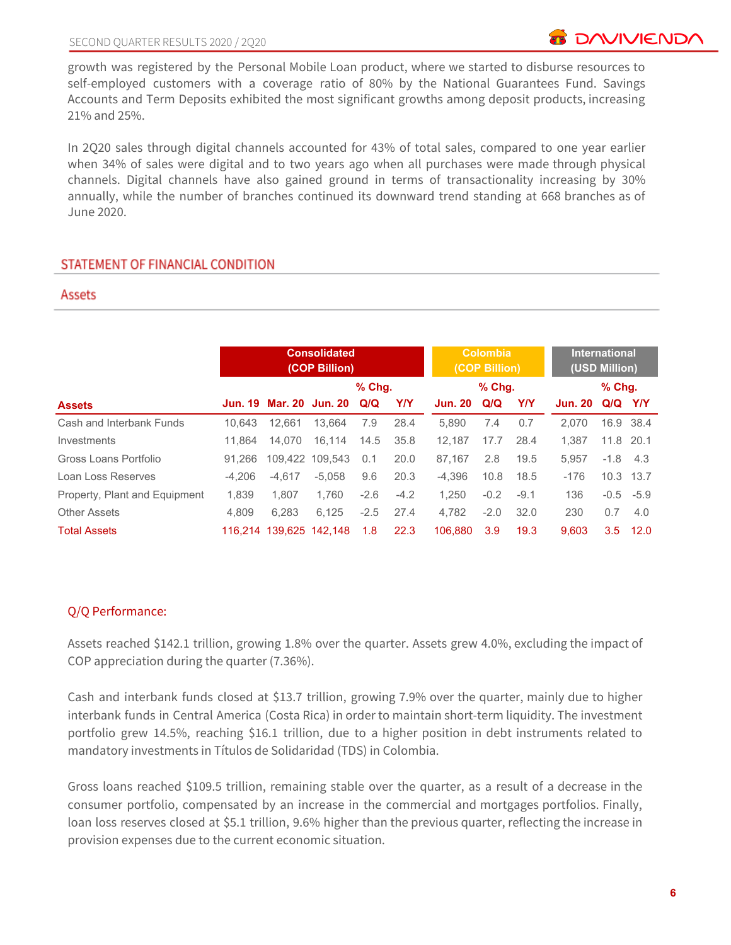growth was registered by the Personal Mobile Loan product, where we started to disburse resources to self-employed customers with a coverage ratio of 80% by the National Guarantees Fund. Savings Accounts and Term Deposits exhibited the most significant growths among deposit products, increasing 21% and 25%.

In 2Q20 sales through digital channels accounted for 43% of total sales, compared to one year earlier when 34% of sales were digital and to two years ago when all purchases were made through physical channels. Digital channels have also gained ground in terms of transactionality increasing by 30% annually, while the number of branches continued its downward trend standing at 668 branches as of June 2020.

# STATEMENT OF FINANCIAL CONDITION

#### Assets

|                               | <b>Consolidated</b><br>(COP Billion) |                         |                         |          |            | Colombia<br>(COP Billion) | <b>International</b><br>(USD Million) |        |                |             |      |
|-------------------------------|--------------------------------------|-------------------------|-------------------------|----------|------------|---------------------------|---------------------------------------|--------|----------------|-------------|------|
|                               |                                      |                         |                         | $%$ Chg. |            | $%$ Chq.                  |                                       |        | $%$ Chg.       |             |      |
| <b>Assets</b>                 |                                      |                         | Jun. 19 Mar. 20 Jun. 20 | Q/Q      | <b>Y/Y</b> | <b>Jun. 20</b>            | Q/Q                                   | Y/Y    | <b>Jun. 20</b> | Q/Q Y/Y     |      |
| Cash and Interbank Funds      | 10.643                               | 12.661                  | 13.664                  | 7.9      | 28.4       | 5.890                     | 7.4                                   | 0.7    | 2.070          | 16.9 38.4   |      |
| Investments                   | 11.864                               | 14.070                  | 16.114                  | 14.5     | 35.8       | 12.187                    | 17.7                                  | 28.4   | 1.387          | 11.8 20.1   |      |
| Gross Loans Portfolio         | 91.266                               |                         | 109.422 109.543         | 0.1      | 20.0       | 87.167                    | 2.8                                   | 19.5   | 5.957          | $-1.8$ 4.3  |      |
| Loan Loss Reserves            | $-4.206$                             | $-4.617$                | $-5.058$                | 9.6      | 20.3       | $-4.396$                  | 10.8                                  | 18.5   | $-176$         | 10.3 13.7   |      |
| Property, Plant and Equipment | 1.839                                | 1.807                   | 1.760                   | $-2.6$   | $-4.2$     | 1.250                     | $-0.2$                                | $-9.1$ | 136            | $-0.5 -5.9$ |      |
| <b>Other Assets</b>           | 4.809                                | 6.283                   | 6.125                   | $-2.5$   | 27.4       | 4.782                     | $-2.0$                                | 32.0   | 230            | 0.7         | 4.0  |
| <b>Total Assets</b>           |                                      | 116.214 139.625 142.148 |                         | 1.8      | 22.3       | 106.880                   | 3.9                                   | 19.3   | 9.603          | 3.5         | 12.0 |

# Q/Q Performance:

Assets reached \$142.1 trillion, growing 1.8% over the quarter. Assets grew 4.0%, excluding the impact of COP appreciation during the quarter (7.36%).

Cash and interbank funds closed at \$13.7 trillion, growing 7.9% over the quarter, mainly due to higher interbank funds in Central America (Costa Rica) in order to maintain short-term liquidity. The investment portfolio grew 14.5%, reaching \$16.1 trillion, due to a higher position in debt instruments related to mandatory investments in Títulos de Solidaridad (TDS) in Colombia.

Gross loans reached \$109.5 trillion, remaining stable over the quarter, as a result of a decrease in the consumer portfolio, compensated by an increase in the commercial and mortgages portfolios. Finally, loan loss reserves closed at \$5.1 trillion, 9.6% higher than the previous quarter, reflecting the increase in provision expenses due to the current economic situation.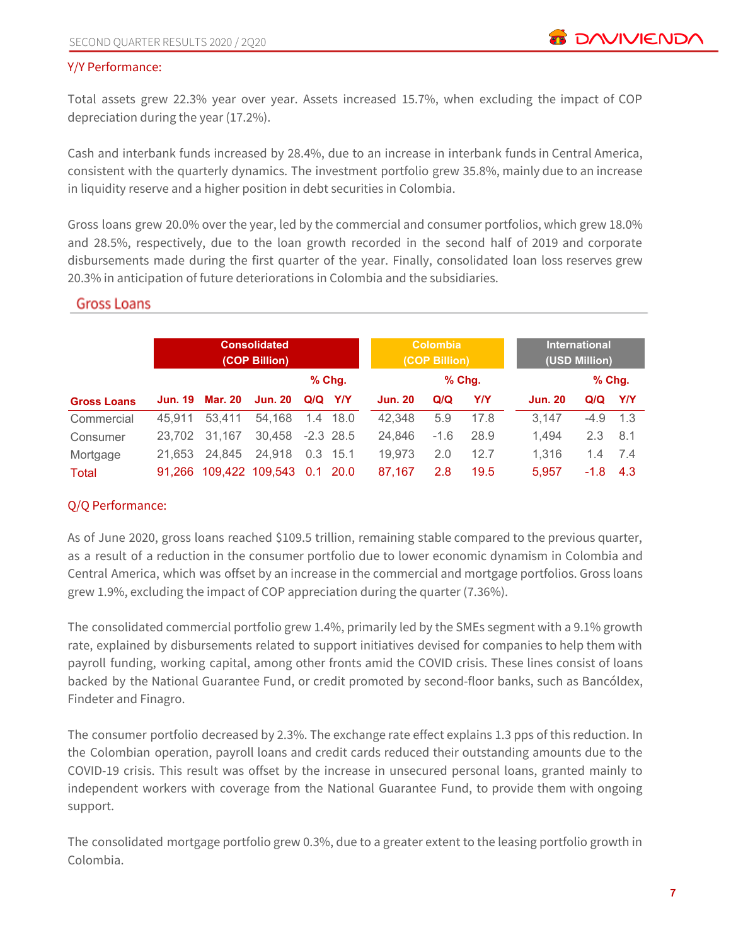#### Y/Y Performance:

Total assets grew 22.3% year over year. Assets increased 15.7%, when excluding the impact of COP depreciation during the year (17.2%).

Cash and interbank funds increased by 28.4%, due to an increase in interbank funds in Central America, consistent with the quarterly dynamics. The investment portfolio grew 35.8%, mainly due to an increase in liquidity reserve and a higher position in debt securities in Colombia.

Gross loans grew 20.0% over the year, led by the commercial and consumer portfolios, which grew 18.0% and 28.5%, respectively, due to the loan growth recorded in the second half of 2019 and corporate disbursements made during the first quarter of the year. Finally, consolidated loan loss reserves grew 20.3% in anticipation of future deteriorations in Colombia and the subsidiaries.

# **Gross Loans**

|                    | <b>Consolidated</b><br>(COP Billion) |                        |                          |             |             |                | <b>Colombia</b><br>(COP Billion) |          | <b>International</b><br>(USD Million) |          |            |
|--------------------|--------------------------------------|------------------------|--------------------------|-------------|-------------|----------------|----------------------------------|----------|---------------------------------------|----------|------------|
|                    |                                      |                        |                          | $%$ Chq.    |             |                |                                  | $%$ Chg. |                                       | $%$ Chg. |            |
| <b>Gross Loans</b> |                                      | <b>Jun. 19 Mar. 20</b> | <b>Jun. 20</b>           | $Q/Q$ $Y/Y$ |             | <b>Jun. 20</b> | Q/Q                              | Y/Y      | <b>Jun. 20</b>                        | Q/Q      | <b>Y/Y</b> |
| Commercial         | 45.911                               | 53.411                 | 54.168                   |             | 1.4 18.0    | 42,348         | 5.9                              | 17.8     | 3.147                                 | $-4.9$   | $-1.3$     |
| Consumer           | 23.702                               | 31,167                 | 30,458                   |             | $-2.3$ 28.5 | 24.846         | $-1.6$                           | 28.9     | 1.494                                 | 2.3      | 8.1        |
| Mortgage           | 21.653                               | 24.845                 | 24,918                   |             | $0.3$ 15.1  | 19,973         | 2.0                              | 12.7     | 1.316                                 | 1.4      | 7.4        |
| Total              | 91.266                               |                        | 109,422 109,543 0.1 20.0 |             |             | 87.167         | 2.8                              | 19.5     | 5,957                                 | $-1.8$   | 4.3        |

# Q/Q Performance:

As of June 2020, gross loans reached \$109.5 trillion, remaining stable compared to the previous quarter, as a result of a reduction in the consumer portfolio due to lower economic dynamism in Colombia and Central America, which was offset by an increase in the commercial and mortgage portfolios. Gross loans grew 1.9%, excluding the impact of COP appreciation during the quarter (7.36%).

The consolidated commercial portfolio grew 1.4%, primarily led by the SMEs segment with a 9.1% growth rate, explained by disbursements related to support initiatives devised for companies to help them with payroll funding, working capital, among other fronts amid the COVID crisis. These lines consist of loans backed by the National Guarantee Fund, or credit promoted by second-floor banks, such as Bancóldex, Findeter and Finagro.

The consumer portfolio decreased by 2.3%. The exchange rate effect explains 1.3 pps of this reduction. In the Colombian operation, payroll loans and credit cards reduced their outstanding amounts due to the COVID-19 crisis. This result was offset by the increase in unsecured personal loans, granted mainly to independent workers with coverage from the National Guarantee Fund, to provide them with ongoing support.

The consolidated mortgage portfolio grew 0.3%, due to a greater extent to the leasing portfolio growth in Colombia.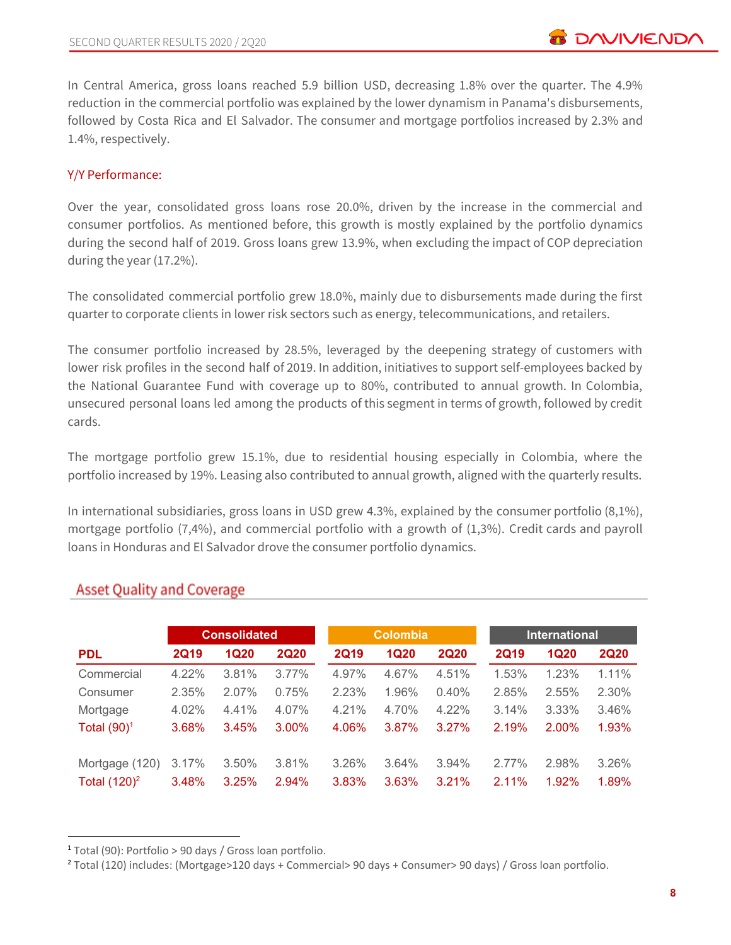In Central America, gross loans reached 5.9 billion USD, decreasing 1.8% over the quarter. The 4.9% reduction in the commercial portfolio was explained by the lower dynamism in Panama's disbursements, followed by Costa Rica and El Salvador. The consumer and mortgage portfolios increased by 2.3% and 1.4%, respectively.

# Y/Y Performance:

Over the year, consolidated gross loans rose 20.0%, driven by the increase in the commercial and consumer portfolios. As mentioned before, this growth is mostly explained by the portfolio dynamics during the second half of 2019. Gross loans grew 13.9%, when excluding the impact of COP depreciation during the year (17.2%).

The consolidated commercial portfolio grew 18.0%, mainly due to disbursements made during the first quarter to corporate clients in lower risk sectors such as energy, telecommunications, and retailers.

The consumer portfolio increased by 28.5%, leveraged by the deepening strategy of customers with lower risk profiles in the second half of 2019. In addition, initiatives to support self-employees backed by the National Guarantee Fund with coverage up to 80%, contributed to annual growth. In Colombia, unsecured personal loans led among the products of this segment in terms of growth, followed by credit cards.

The mortgage portfolio grew 15.1%, due to residential housing especially in Colombia, where the portfolio increased by 19%. Leasing also contributed to annual growth, aligned with the quarterly results.

In international subsidiaries, gross loans in USD grew 4.3%, explained by the consumer portfolio (8,1%), mortgage portfolio (7,4%), and commercial portfolio with a growth of (1,3%). Credit cards and payroll loans in Honduras and El Salvador drove the consumer portfolio dynamics.

|                 | <b>Consolidated</b> |             |             |             | <b>Colombia</b> |             | <b>International</b> |             |             |  |
|-----------------|---------------------|-------------|-------------|-------------|-----------------|-------------|----------------------|-------------|-------------|--|
| <b>PDL</b>      | <b>2Q19</b>         | <b>1Q20</b> | <b>2Q20</b> | <b>2Q19</b> | <b>1Q20</b>     | <b>2Q20</b> | <b>2Q19</b>          | <b>1Q20</b> | <b>2Q20</b> |  |
| Commercial      | 4.22%               | 3.81%       | $3.77\%$    | 4.97%       | 4.67%           | 4.51%       | 1.53%                | 1.23%       | 1.11%       |  |
| Consumer        | 2.35%               | 2.07%       | 0.75%       | 2.23%       | 1.96%           | 0.40%       | 2.85%                | 2.55%       | 2.30%       |  |
| Mortgage        | 4.02%               | 4.41%       | 4.07%       | 4.21%       | 4.70%           | 4.22%       | 3.14%                | $3.33\%$    | 3.46%       |  |
| Total $(90)^1$  | 3.68%               | 3.45%       | $3.00\%$    | 4.06%       | 3.87%           | 3.27%       | 2.19%                | 2.00%       | 1.93%       |  |
| Mortgage (120)  | 3.17%               | 3.50%       | 3.81%       | 3.26%       | 3.64%           | 3.94%       | 2.77%                | 2.98%       | 3.26%       |  |
| Total $(120)^2$ | 3.48%               | 3.25%       | 2.94%       | 3.83%       | 3.63%           | 3.21%       | 2.11%                | 1.92%       | 1.89%       |  |

# **Asset Quality and Coverage**

<sup>1</sup> Total (90): Portfolio > 90 days / Gross loan portfolio.

<sup>2</sup> Total (120) includes: (Mortgage>120 days + Commercial> 90 days + Consumer> 90 days) / Gross loan portfolio.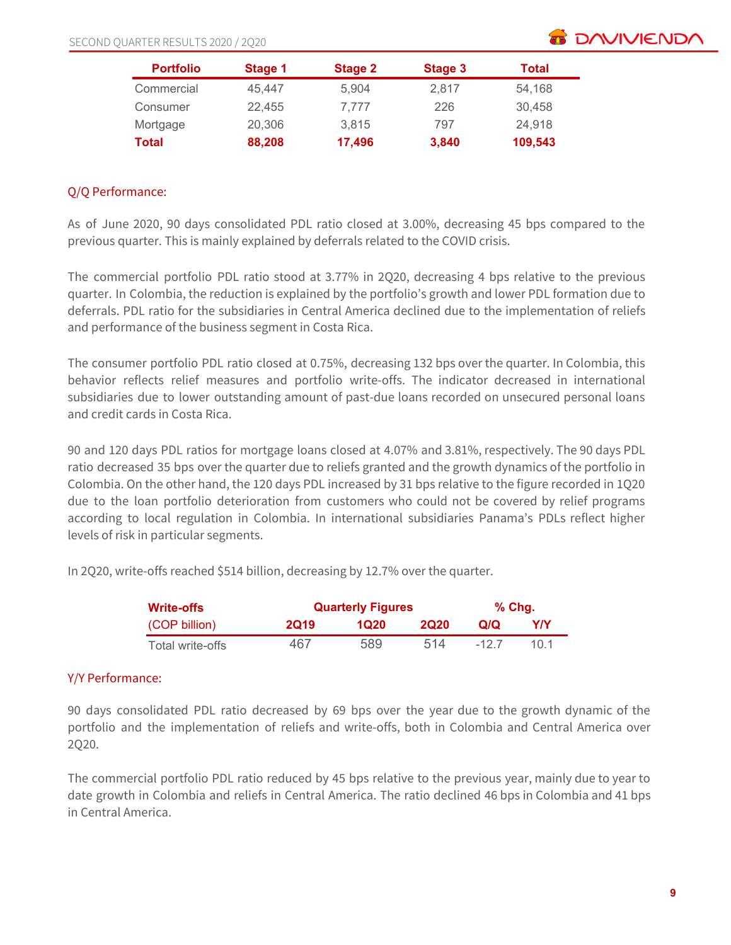

| <b>Portfolio</b> | Stage 1 | Stage 2 | Stage 3 | Total   |
|------------------|---------|---------|---------|---------|
| Commercial       | 45.447  | 5.904   | 2,817   | 54,168  |
| Consumer         | 22.455  | 7.777   | 226     | 30.458  |
| Mortgage         | 20,306  | 3.815   | 797     | 24,918  |
| Total            | 88,208  | 17,496  | 3,840   | 109,543 |

# Q/Q Performance:

As of June 2020, 90 days consolidated PDL ratio closed at 3.00%, decreasing 45 bps compared to the previous quarter. This is mainly explained by deferrals related to the COVID crisis.

The commercial portfolio PDL ratio stood at 3.77% in 2Q20, decreasing 4 bps relative to the previous quarter. In Colombia, the reduction is explained by the portfolio's growth and lower PDL formation due to deferrals. PDL ratio for the subsidiaries in Central America declined due to the implementation of reliefs and performance of the business segment in Costa Rica.

The consumer portfolio PDL ratio closed at 0.75%, decreasing 132 bps over the quarter. In Colombia, this behavior reflects relief measures and portfolio write-offs. The indicator decreased in international subsidiaries due to lower outstanding amount of past-due loans recorded on unsecured personal loans and credit cards in Costa Rica.

90 and 120 days PDL ratios for mortgage loans closed at 4.07% and 3.81%, respectively. The 90 days PDL ratio decreased 35 bps over the quarter due to reliefs granted and the growth dynamics of the portfolio in Colombia. On the other hand, the 120 days PDL increased by 31 bps relative to the figure recorded in 1Q20 due to the loan portfolio deterioration from customers who could not be covered by relief programs according to local regulation in Colombia. In international subsidiaries Panama's PDLs reflect higher levels of risk in particular segments.

In 2Q20, write-offs reached \$514 billion, decreasing by 12.7% over the quarter.

| <b>Write-offs</b> |             | <b>Quarterly Figures</b> |             |       |     |  |  |  |
|-------------------|-------------|--------------------------|-------------|-------|-----|--|--|--|
| (COP billion)     | <b>2Q19</b> | 1020                     | <b>2020</b> | വറ    | Y/Y |  |  |  |
| Total write-offs  | 467         | 589                      | 514         | -12.7 | 101 |  |  |  |

# Y/Y Performance:

90 days consolidated PDL ratio decreased by 69 bps over the year due to the growth dynamic of the portfolio and the implementation of reliefs and write-offs, both in Colombia and Central America over 2Q20.

The commercial portfolio PDL ratio reduced by 45 bps relative to the previous year, mainly due to year to date growth in Colombia and reliefs in Central America. The ratio declined 46 bps in Colombia and 41 bps in Central America.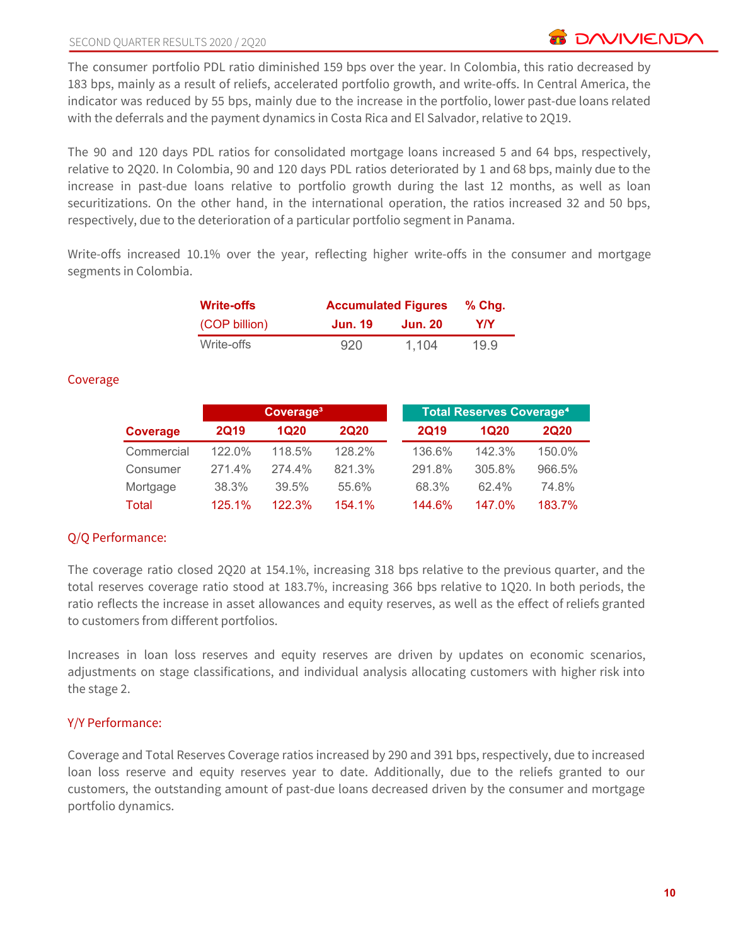The consumer portfolio PDL ratio diminished 159 bps over the year. In Colombia, this ratio decreased by 183 bps, mainly as a result of reliefs, accelerated portfolio growth, and write-offs. In Central America, the indicator was reduced by 55 bps, mainly due to the increase in the portfolio, lower past-due loans related with the deferrals and the payment dynamics in Costa Rica and El Salvador, relative to 2Q19.

The 90 and 120 days PDL ratios for consolidated mortgage loans increased 5 and 64 bps, respectively, relative to 2Q20. In Colombia, 90 and 120 days PDL ratios deteriorated by 1 and 68 bps, mainly due to the increase in past-due loans relative to portfolio growth during the last 12 months, as well as loan securitizations. On the other hand, in the international operation, the ratios increased 32 and 50 bps, respectively, due to the deterioration of a particular portfolio segment in Panama.

Write-offs increased 10.1% over the year, reflecting higher write-offs in the consumer and mortgage segments in Colombia.

| <b>Write-offs</b> |         | <b>Accumulated Figures</b> |      |  |  |  |  |
|-------------------|---------|----------------------------|------|--|--|--|--|
| (COP billion)     | Jun. 19 | Jun. 20                    | Y/Y  |  |  |  |  |
| Write-offs        | 920     | 1.104                      | 19.9 |  |  |  |  |

#### Coverage

|            |             | Coverage <sup>3</sup> |             |             | <b>Total Reserves Coverage<sup>4</sup></b> |             |
|------------|-------------|-----------------------|-------------|-------------|--------------------------------------------|-------------|
| Coverage   | <b>2Q19</b> | 1Q20                  | <b>2Q20</b> | <b>2Q19</b> | 1Q20                                       | <b>2Q20</b> |
| Commercial | 122.0%      | 118.5%                | 128.2%      | 136.6%      | 142.3%                                     | 150.0%      |
| Consumer   | 271.4%      | 274.4%                | 821.3%      | 291.8%      | 305.8%                                     | 966.5%      |
| Mortgage   | 38.3%       | 39.5%                 | 55.6%       | 68.3%       | 62.4%                                      | 74.8%       |
| Total      | 125.1%      | 122.3%                | 154.1%      | 144.6%      | 147.0%                                     | 183.7%      |

# Q/Q Performance:

The coverage ratio closed 2Q20 at 154.1%, increasing 318 bps relative to the previous quarter, and the total reserves coverage ratio stood at 183.7%, increasing 366 bps relative to 1Q20. In both periods, the ratio reflects the increase in asset allowances and equity reserves, as well as the effect of reliefs granted to customers from different portfolios.

Increases in loan loss reserves and equity reserves are driven by updates on economic scenarios, adjustments on stage classifications, and individual analysis allocating customers with higher risk into the stage 2.

#### Y/Y Performance:

Coverage and Total Reserves Coverage ratios increased by 290 and 391 bps, respectively, due to increased loan loss reserve and equity reserves year to date. Additionally, due to the reliefs granted to our customers, the outstanding amount of past-due loans decreased driven by the consumer and mortgage portfolio dynamics.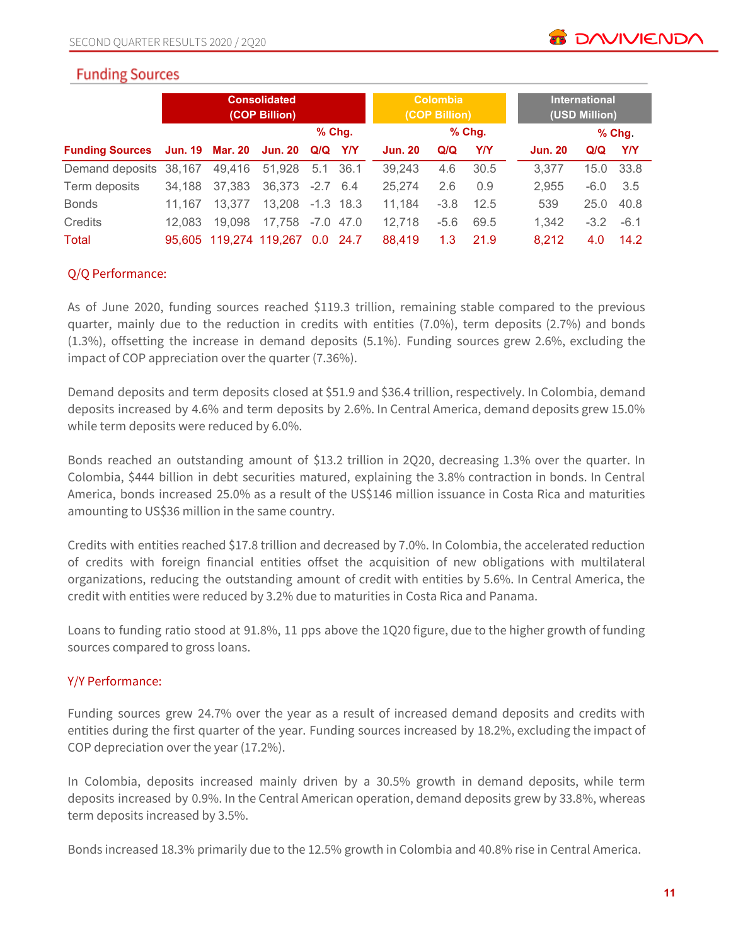

# **Funding Sources**

|                        | <b>Consolidated</b><br>(COP Billion) |                        |                        |                  |             | <b>Colombia</b><br>(COP Billion) |        |          |  | <b>International</b><br>(USD Million) |        |         |
|------------------------|--------------------------------------|------------------------|------------------------|------------------|-------------|----------------------------------|--------|----------|--|---------------------------------------|--------|---------|
|                        |                                      |                        |                        |                  | $%$ Chg.    |                                  |        | $%$ Chg. |  |                                       |        | $%$ Chg |
| <b>Funding Sources</b> |                                      | <b>Jun. 19 Mar. 20</b> | Jun. 20 Q/Q Y/Y        |                  |             | <b>Jun. 20</b>                   | Q/Q    | Y/Y      |  | <b>Jun. 20</b>                        | Q/Q    | YN      |
| Demand deposits        | 38,167                               | 49,416                 | 51,928                 |                  | 5.1 36.1    | 39,243                           | 4.6    | 30.5     |  | 3,377                                 | 15.0   | 33.8    |
| Term deposits          | 34.188                               | 37,383                 | 36,373 -2.7 6.4        |                  |             | 25.274                           | 2.6    | 0.9      |  | 2.955                                 | $-6.0$ | 3.5     |
| <b>Bonds</b>           | 11.167                               | 13.377                 | 13.208 -1.3 18.3       |                  |             | 11.184                           | $-3.8$ | 12.5     |  | 539                                   | 25.0   | 40.8    |
| Credits                | 12.083                               | 19,098                 | 17.758                 |                  | $-7.0$ 47.0 | 12,718                           | $-5.6$ | 69.5     |  | 1.342                                 | $-3.2$ | $-6.1$  |
| <b>Total</b>           |                                      |                        | 95,605 119,274 119,267 | 0.0 <sub>1</sub> | 24.7        | 88.419                           | 1.3    | 21.9     |  | 8,212                                 | 4.0    | 14.2    |

# Q/Q Performance:

As of June 2020, funding sources reached \$119.3 trillion, remaining stable compared to the previous quarter, mainly due to the reduction in credits with entities (7.0%), term deposits (2.7%) and bonds (1.3%), offsetting the increase in demand deposits (5.1%). Funding sources grew 2.6%, excluding the impact of COP appreciation over the quarter (7.36%).

Demand deposits and term deposits closed at \$51.9 and \$36.4 trillion, respectively. In Colombia, demand deposits increased by 4.6% and term deposits by 2.6%. In Central America, demand deposits grew 15.0% while term deposits were reduced by 6.0%.

Bonds reached an outstanding amount of \$13.2 trillion in 2Q20, decreasing 1.3% over the quarter. In Colombia, \$444 billion in debt securities matured, explaining the 3.8% contraction in bonds. In Central America, bonds increased 25.0% as a result of the US\$146 million issuance in Costa Rica and maturities amounting to US\$36 million in the same country.

Credits with entities reached \$17.8 trillion and decreased by 7.0%. In Colombia, the accelerated reduction of credits with foreign financial entities offset the acquisition of new obligations with multilateral organizations, reducing the outstanding amount of credit with entities by 5.6%. In Central America, the credit with entities were reduced by 3.2% due to maturities in Costa Rica and Panama.

Loans to funding ratio stood at 91.8%, 11 pps above the 1Q20 figure, due to the higher growth of funding sources compared to gross loans.

#### Y/Y Performance:

Funding sources grew 24.7% over the year as a result of increased demand deposits and credits with entities during the first quarter of the year. Funding sources increased by 18.2%, excluding the impact of COP depreciation over the year (17.2%).

In Colombia, deposits increased mainly driven by a 30.5% growth in demand deposits, while term deposits increased by 0.9%. In the Central American operation, demand deposits grew by 33.8%, whereas term deposits increased by 3.5%.

Bonds increased 18.3% primarily due to the 12.5% growth in Colombia and 40.8% rise in Central America.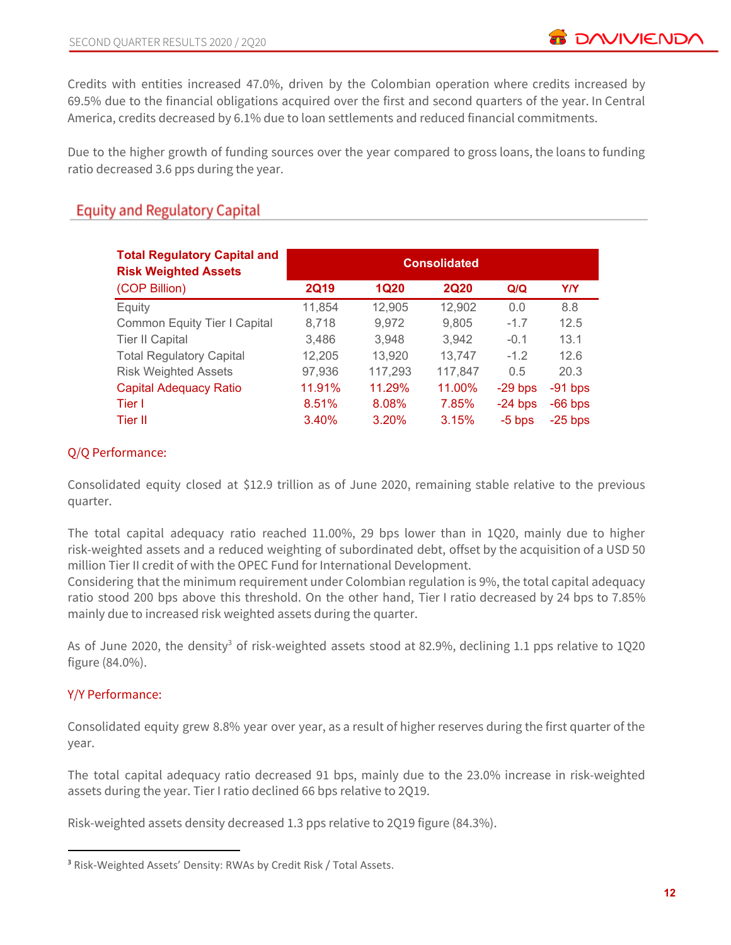Credits with entities increased 47.0%, driven by the Colombian operation where credits increased by 69.5% due to the financial obligations acquired over the first and second quarters of the year. In Central America, credits decreased by 6.1% due to loan settlements and reduced financial commitments.

Due to the higher growth of funding sources over the year compared to gross loans, the loans to funding ratio decreased 3.6 pps during the year.

# **Equity and Regulatory Capital**

| <b>Total Regulatory Capital and</b><br><b>Risk Weighted Assets</b> | <b>Consolidated</b> |             |             |           |            |  |  |
|--------------------------------------------------------------------|---------------------|-------------|-------------|-----------|------------|--|--|
| (COP Billion)                                                      | <b>2Q19</b>         | <b>1Q20</b> | <b>2Q20</b> | Q/Q       | <b>Y/Y</b> |  |  |
| Equity                                                             | 11,854              | 12,905      | 12,902      | 0.0       | 8.8        |  |  |
| Common Equity Tier I Capital                                       | 8,718               | 9,972       | 9,805       | $-1.7$    | 12.5       |  |  |
| <b>Tier II Capital</b>                                             | 3,486               | 3,948       | 3,942       | $-0.1$    | 13.1       |  |  |
| <b>Total Regulatory Capital</b>                                    | 12,205              | 13,920      | 13,747      | $-1.2$    | 12.6       |  |  |
| <b>Risk Weighted Assets</b>                                        | 97,936              | 117,293     | 117,847     | 0.5       | 20.3       |  |  |
| <b>Capital Adequacy Ratio</b>                                      | 11.91%              | 11.29%      | 11.00%      | $-29$ bps | $-91$ bps  |  |  |
| Tier I                                                             | 8.51%               | 8.08%       | 7.85%       | $-24$ bps | $-66$ bps  |  |  |
| Tier II                                                            | 3.40%               | 3.20%       | 3.15%       | $-5$ bps  | $-25$ bps  |  |  |

# Q/Q Performance:

Consolidated equity closed at \$12.9 trillion as of June 2020, remaining stable relative to the previous quarter.

The total capital adequacy ratio reached 11.00%, 29 bps lower than in 1Q20, mainly due to higher risk-weighted assets and a reduced weighting of subordinated debt, offset by the acquisition of a USD 50 million Tier II credit of with the OPEC Fund for International Development.

Considering that the minimum requirement under Colombian regulation is 9%, the total capital adequacy ratio stood 200 bps above this threshold. On the other hand, Tier I ratio decreased by 24 bps to 7.85% mainly due to increased risk weighted assets during the quarter.

As of June 2020, the density<sup>3</sup> of risk-weighted assets stood at 82.9%, declining 1.1 pps relative to 1Q20 figure (84.0%).

# Y/Y Performance:

Consolidated equity grew 8.8% year over year, as a result of higher reserves during the first quarter of the year.

The total capital adequacy ratio decreased 91 bps, mainly due to the 23.0% increase in risk-weighted assets during the year. Tier I ratio declined 66 bps relative to 2Q19.

Risk-weighted assets density decreased 1.3 pps relative to 2Q19 figure (84.3%).

<sup>3</sup> Risk-Weighted Assets' Density: RWAs by Credit Risk / Total Assets.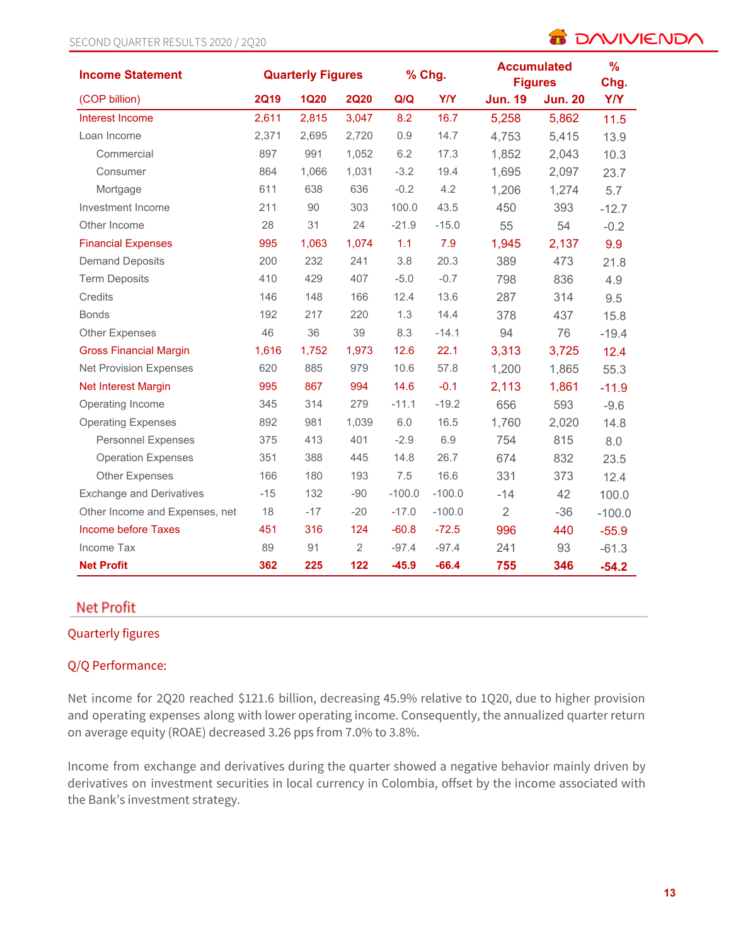#### SECOND QUARTER RESULTS 2020 / 2Q20

# **B DAVIVIENDA**

| <b>Income Statement</b>         |             | <b>Quarterly Figures</b> |                |          | <b>Accumulated</b><br>% Chg.<br><b>Figures</b> |                |                | $\frac{9}{6}$<br>Chg. |
|---------------------------------|-------------|--------------------------|----------------|----------|------------------------------------------------|----------------|----------------|-----------------------|
| (COP billion)                   | <b>2Q19</b> | <b>1Q20</b>              | <b>2Q20</b>    | Q/Q      | <b>Y/Y</b>                                     | <b>Jun. 19</b> | <b>Jun. 20</b> | <b>Y/Y</b>            |
| Interest Income                 | 2,611       | 2,815                    | 3,047          | 8.2      | 16.7                                           | 5,258          | 5,862          | $11.5$                |
| Loan Income                     | 2,371       | 2,695                    | 2,720          | 0.9      | 14.7                                           | 4,753          | 5,415          | 13.9                  |
| Commercial                      | 897         | 991                      | 1,052          | 6.2      | 17.3                                           | 1,852          | 2,043          | 10.3                  |
| Consumer                        | 864         | 1,066                    | 1,031          | $-3.2$   | 19.4                                           | 1,695          | 2,097          | 23.7                  |
| Mortgage                        | 611         | 638                      | 636            | $-0.2$   | 4.2                                            | 1,206          | 1,274          | 5.7                   |
| Investment Income               | 211         | 90                       | 303            | 100.0    | 43.5                                           | 450            | 393            | $-12.7$               |
| Other Income                    | 28          | 31                       | 24             | $-21.9$  | $-15.0$                                        | 55             | 54             | $-0.2$                |
| <b>Financial Expenses</b>       | 995         | 1,063                    | 1,074          | 1.1      | 7.9                                            | 1,945          | 2,137          | 9.9                   |
| <b>Demand Deposits</b>          | 200         | 232                      | 241            | 3.8      | 20.3                                           | 389            | 473            | 21.8                  |
| <b>Term Deposits</b>            | 410         | 429                      | 407            | $-5.0$   | $-0.7$                                         | 798            | 836            | 4.9                   |
| Credits                         | 146         | 148                      | 166            | 12.4     | 13.6                                           | 287            | 314            | 9.5                   |
| <b>Bonds</b>                    | 192         | 217                      | 220            | 1.3      | 14.4                                           | 378            | 437            | 15.8                  |
| <b>Other Expenses</b>           | 46          | 36                       | 39             | 8.3      | $-14.1$                                        | 94             | 76             | $-19.4$               |
| <b>Gross Financial Margin</b>   | 1,616       | 1,752                    | 1,973          | 12.6     | 22.1                                           | 3,313          | 3,725          | 12.4                  |
| <b>Net Provision Expenses</b>   | 620         | 885                      | 979            | 10.6     | 57.8                                           | 1,200          | 1,865          | 55.3                  |
| Net Interest Margin             | 995         | 867                      | 994            | 14.6     | $-0.1$                                         | 2,113          | 1,861          | $-11.9$               |
| Operating Income                | 345         | 314                      | 279            | $-11.1$  | $-19.2$                                        | 656            | 593            | $-9.6$                |
| <b>Operating Expenses</b>       | 892         | 981                      | 1,039          | $6.0$    | 16.5                                           | 1,760          | 2,020          | 14.8                  |
| <b>Personnel Expenses</b>       | 375         | 413                      | 401            | $-2.9$   | 6.9                                            | 754            | 815            | 8.0                   |
| <b>Operation Expenses</b>       | 351         | 388                      | 445            | 14.8     | 26.7                                           | 674            | 832            | 23.5                  |
| Other Expenses                  | 166         | 180                      | 193            | 7.5      | 16.6                                           | 331            | 373            | 12.4                  |
| <b>Exchange and Derivatives</b> | $-15$       | 132                      | $-90$          | $-100.0$ | $-100.0$                                       | $-14$          | 42             | 100.0                 |
| Other Income and Expenses, net  | 18          | $-17$                    | $-20$          | $-17.0$  | $-100.0$                                       | $\overline{2}$ | $-36$          | $-100.0$              |
| <b>Income before Taxes</b>      | 451         | 316                      | 124            | $-60.8$  | $-72.5$                                        | 996            | 440            | $-55.9$               |
| Income Tax                      | 89          | 91                       | $\overline{2}$ | $-97.4$  | $-97.4$                                        | 241            | 93             | $-61.3$               |
| <b>Net Profit</b>               | 362         | 225                      | 122            | $-45.9$  | $-66.4$                                        | 755            | 346            | $-54.2$               |

# **Net Profit**

#### Quarterly figures

# Q/Q Performance:

Net income for 2Q20 reached \$121.6 billion, decreasing 45.9% relative to 1Q20, due to higher provision and operating expenses along with lower operating income. Consequently, the annualized quarter return on average equity (ROAE) decreased 3.26 pps from 7.0% to 3.8%.

Income from exchange and derivatives during the quarter showed a negative behavior mainly driven by derivatives on investment securities in local currency in Colombia, offset by the income associated with the Bank's investment strategy.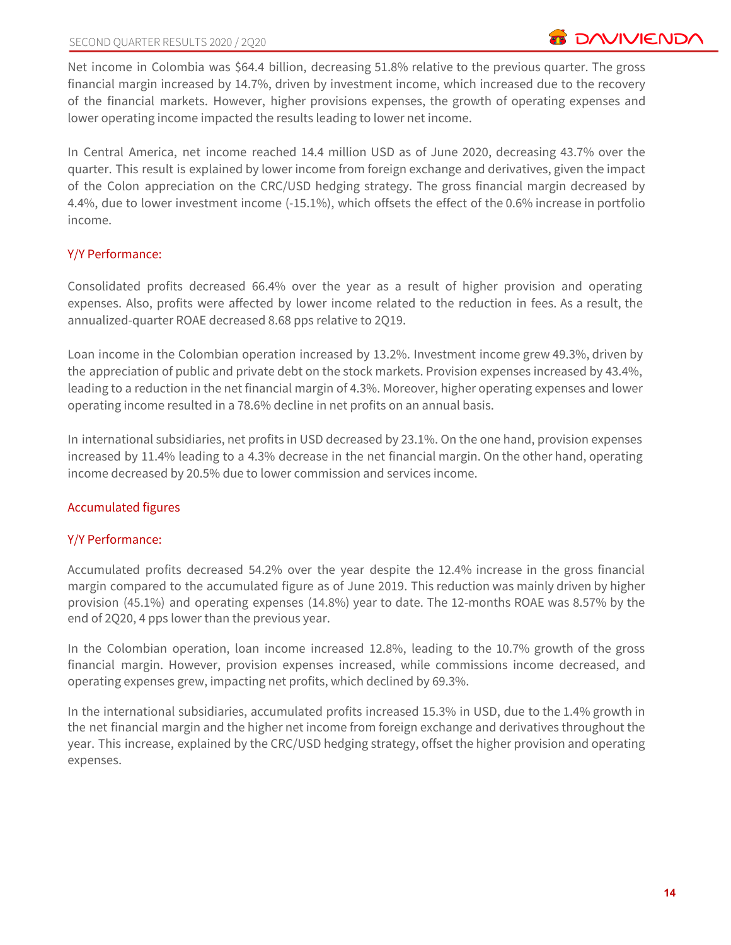Net income in Colombia was \$64.4 billion, decreasing 51.8% relative to the previous quarter. The gross financial margin increased by 14.7%, driven by investment income, which increased due to the recovery of the financial markets. However, higher provisions expenses, the growth of operating expenses and lower operating income impacted the results leading to lower net income.

In Central America, net income reached 14.4 million USD as of June 2020, decreasing 43.7% over the quarter. This result is explained by lower income from foreign exchange and derivatives, given the impact of the Colon appreciation on the CRC/USD hedging strategy. The gross financial margin decreased by 4.4%, due to lower investment income (-15.1%), which offsets the effect of the 0.6% increase in portfolio income.

# Y/Y Performance:

Consolidated profits decreased 66.4% over the year as a result of higher provision and operating expenses. Also, profits were affected by lower income related to the reduction in fees. As a result, the annualized-quarter ROAE decreased 8.68 pps relative to 2Q19.

Loan income in the Colombian operation increased by 13.2%. Investment income grew 49.3%, driven by the appreciation of public and private debt on the stock markets. Provision expenses increased by 43.4%, leading to a reduction in the net financial margin of 4.3%. Moreover, higher operating expenses and lower operating income resulted in a 78.6% decline in net profits on an annual basis.

In international subsidiaries, net profits in USD decreased by 23.1%. On the one hand, provision expenses increased by 11.4% leading to a 4.3% decrease in the net financial margin. On the other hand, operating income decreased by 20.5% due to lower commission and services income.

# Accumulated figures

# Y/Y Performance:

Accumulated profits decreased 54.2% over the year despite the 12.4% increase in the gross financial margin compared to the accumulated figure as of June 2019. This reduction was mainly driven by higher provision (45.1%) and operating expenses (14.8%) year to date. The 12-months ROAE was 8.57% by the end of 2Q20, 4 pps lower than the previous year.

In the Colombian operation, loan income increased 12.8%, leading to the 10.7% growth of the gross financial margin. However, provision expenses increased, while commissions income decreased, and operating expenses grew, impacting net profits, which declined by 69.3%.

In the international subsidiaries, accumulated profits increased 15.3% in USD, due to the 1.4% growth in the net financial margin and the higher net income from foreign exchange and derivatives throughout the year. This increase, explained by the CRC/USD hedging strategy, offset the higher provision and operating expenses.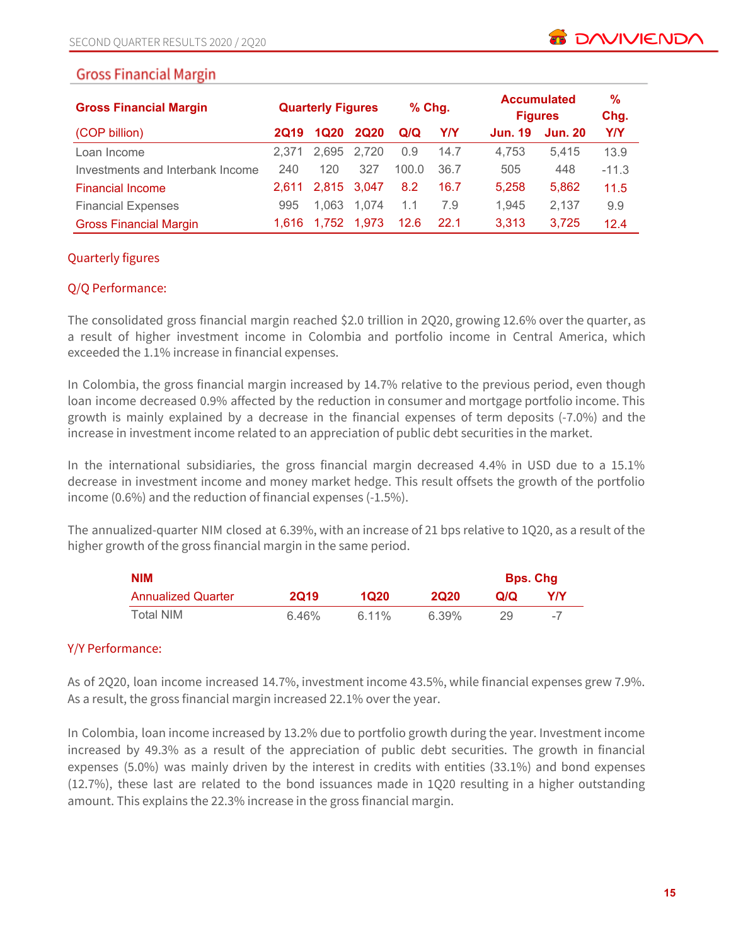| <b>Gross Financial Margin</b>    | <b>Quarterly Figures</b> |             | % Chg.      |       |      | <b>Accumulated</b><br><b>Figures</b> |                |            |
|----------------------------------|--------------------------|-------------|-------------|-------|------|--------------------------------------|----------------|------------|
| (COP billion)                    | <b>2Q19</b>              | 1Q20        | <b>2Q20</b> | Q/Q   | Y/Y  | <b>Jun. 19</b>                       | <b>Jun. 20</b> | <b>Y/Y</b> |
| Loan Income                      | 2.371                    | 2.695       | 2.720       | 0.9   | 14.7 | 4.753                                | 5.415          | 13.9       |
| Investments and Interbank Income | 240                      | 120         | 327         | 100.0 | 36.7 | 505                                  | 448            | $-11.3$    |
| <b>Financial Income</b>          | 2.611                    | 2.815 3.047 |             | 8.2   | 16.7 | 5,258                                | 5,862          | 11.5       |
| <b>Financial Expenses</b>        | 995                      | 1.063       | 1.074       | 1.1   | 7.9  | 1,945                                | 2,137          | 9.9        |
| <b>Gross Financial Margin</b>    | 1.616                    | 1.752       | 1.973       | 12.6  | 22.1 | 3,313                                | 3.725          | 12.4       |

#### Quarterly figures

# Q/Q Performance:

The consolidated gross financial margin reached \$2.0 trillion in 2Q20, growing 12.6% over the quarter, as a result of higher investment income in Colombia and portfolio income in Central America, which exceeded the 1.1% increase in financial expenses.

In Colombia, the gross financial margin increased by 14.7% relative to the previous period, even though loan income decreased 0.9% affected by the reduction in consumer and mortgage portfolio income. This growth is mainly explained by a decrease in the financial expenses of term deposits (-7.0%) and the increase in investment income related to an appreciation of public debt securities in the market.

In the international subsidiaries, the gross financial margin decreased 4.4% in USD due to a 15.1% decrease in investment income and money market hedge. This result offsets the growth of the portfolio income (0.6%) and the reduction of financial expenses (-1.5%).

The annualized-quarter NIM closed at 6.39%, with an increase of 21 bps relative to 1Q20, as a result of the higher growth of the gross financial margin in the same period.

| <b>NIM</b>                | <b>Bps. Chg</b> |         |             |     |      |
|---------------------------|-----------------|---------|-------------|-----|------|
| <b>Annualized Quarter</b> | <b>2Q19</b>     | 1020    | <b>2020</b> | Q/Q | Y/Y  |
| Total NIM                 | 6.46%           | $611\%$ | 6.39%       | 29. | $-7$ |

# Y/Y Performance:

As of 2Q20, loan income increased 14.7%, investment income 43.5%, while financial expenses grew 7.9%. As a result, the gross financial margin increased 22.1% over the year.

In Colombia, loan income increased by 13.2% due to portfolio growth during the year. Investment income increased by 49.3% as a result of the appreciation of public debt securities. The growth in financial expenses (5.0%) was mainly driven by the interest in credits with entities (33.1%) and bond expenses (12.7%), these last are related to the bond issuances made in 1Q20 resulting in a higher outstanding amount. This explains the 22.3% increase in the gross financial margin.

**B** DAVIVIEND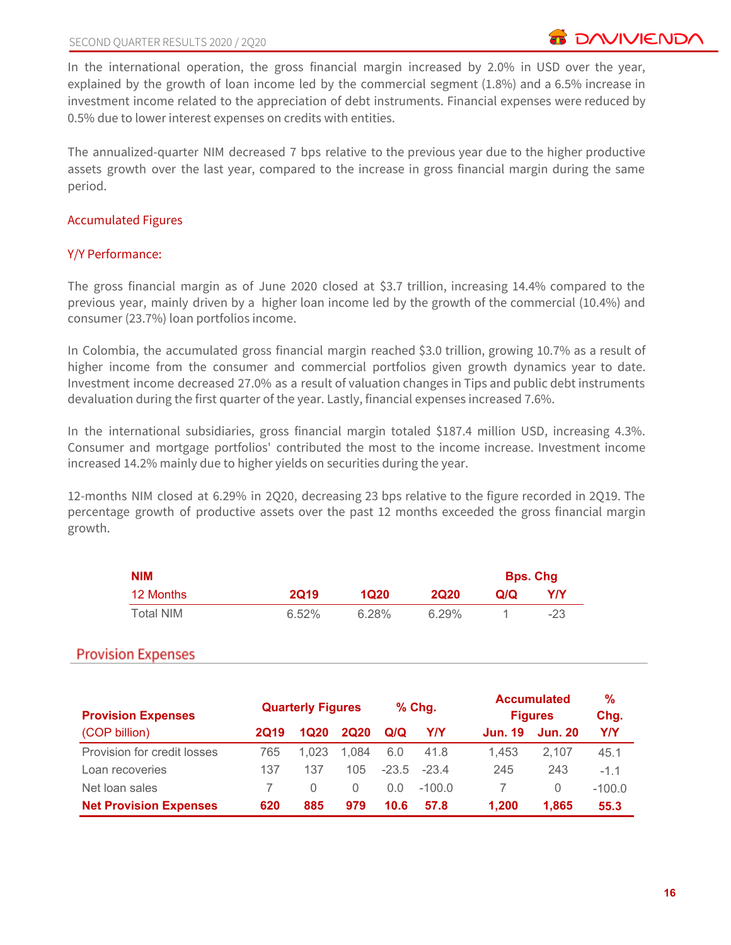In the international operation, the gross financial margin increased by 2.0% in USD over the year, explained by the growth of loan income led by the commercial segment (1.8%) and a 6.5% increase in investment income related to the appreciation of debt instruments. Financial expenses were reduced by 0.5% due to lower interest expenses on credits with entities.

The annualized-quarter NIM decreased 7 bps relative to the previous year due to the higher productive assets growth over the last year, compared to the increase in gross financial margin during the same period.

#### Accumulated Figures

#### Y/Y Performance:

The gross financial margin as of June 2020 closed at \$3.7 trillion, increasing 14.4% compared to the previous year, mainly driven by a higher loan income led by the growth of the commercial (10.4%) and consumer (23.7%) loan portfolios income.

In Colombia, the accumulated gross financial margin reached \$3.0 trillion, growing 10.7% as a result of higher income from the consumer and commercial portfolios given growth dynamics year to date. Investment income decreased 27.0% as a result of valuation changes in Tips and public debt instruments devaluation during the first quarter of the year. Lastly, financial expenses increased 7.6%.

In the international subsidiaries, gross financial margin totaled \$187.4 million USD, increasing 4.3%. Consumer and mortgage portfolios' contributed the most to the income increase. Investment income increased 14.2% mainly due to higher yields on securities during the year.

12-months NIM closed at 6.29% in 2Q20, decreasing 23 bps relative to the figure recorded in 2Q19. The percentage growth of productive assets over the past 12 months exceeded the gross financial margin growth.

| <b>NIM</b> |             |       |             |     | <b>Bps. Chg</b> |
|------------|-------------|-------|-------------|-----|-----------------|
| 12 Months  | <b>2Q19</b> | 1Q20  | <b>2020</b> | Q/Q | Y/Y             |
| Total NIM  | 6.52%       | 6.28% | 6.29%       |     | -23             |

# **Provision Expenses**

| <b>Provision Expenses</b>     |      | <b>Quarterly Figures</b> |             |         | $%$ Chg. |                | <b>Accumulated</b><br><b>Figures</b> | %<br>Chg.  |
|-------------------------------|------|--------------------------|-------------|---------|----------|----------------|--------------------------------------|------------|
| (COP billion)                 | 2019 | 1Q20                     | <b>2Q20</b> | Q/Q     | Y/Y      | <b>Jun. 19</b> | <b>Jun. 20</b>                       | <b>Y/Y</b> |
| Provision for credit losses   | 765  | 1.023                    | 1.084       | 6.0     | 41.8     | 1.453          | 2.107                                | 45.1       |
| Loan recoveries               | 137  | 137                      | 105         | $-23.5$ | $-23.4$  | 245            | 243                                  | $-1.1$     |
| Net loan sales                |      | $\left( \right)$         | $\Omega$    | 0.0     | $-100.0$ |                | 0                                    | $-100.0$   |
| <b>Net Provision Expenses</b> | 620  | 885                      | 979         | 10.6    | 57.8     | 1.200          | 1.865                                | 55.3       |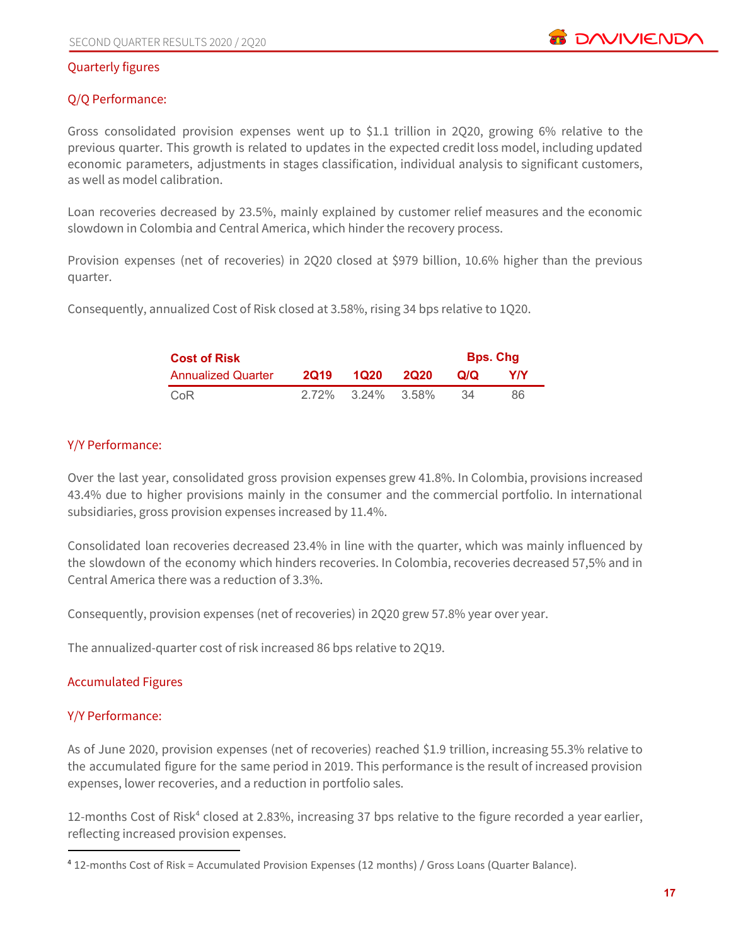#### Quarterly figures

#### Q/Q Performance:

Gross consolidated provision expenses went up to \$1.1 trillion in 2Q20, growing 6% relative to the previous quarter. This growth is related to updates in the expected credit loss model, including updated economic parameters, adjustments in stages classification, individual analysis to significant customers, as well as model calibration.

Loan recoveries decreased by 23.5%, mainly explained by customer relief measures and the economic slowdown in Colombia and Central America, which hinder the recovery process.

Provision expenses (net of recoveries) in 2Q20 closed at \$979 billion, 10.6% higher than the previous quarter.

Consequently, annualized Cost of Risk closed at 3.58%, rising 34 bps relative to 1Q20.

| <b>Cost of Risk</b>       | <b>Bps. Chg</b> |                   |             |     |     |
|---------------------------|-----------------|-------------------|-------------|-----|-----|
| <b>Annualized Quarter</b> | <b>2019</b>     | 1020              | <b>2020</b> | Q/Q | Y/Y |
| CoR                       |                 | 2.72% 3.24% 3.58% |             | :34 | 86  |

#### Y/Y Performance:

Over the last year, consolidated gross provision expenses grew 41.8%. In Colombia, provisions increased 43.4% due to higher provisions mainly in the consumer and the commercial portfolio. In international subsidiaries, gross provision expenses increased by 11.4%.

Consolidated loan recoveries decreased 23.4% in line with the quarter, which was mainly influenced by the slowdown of the economy which hinders recoveries. In Colombia, recoveries decreased 57,5% and in Central America there was a reduction of 3.3%.

Consequently, provision expenses (net of recoveries) in 2Q20 grew 57.8% year over year.

The annualized-quarter cost of risk increased 86 bps relative to 2Q19.

#### Accumulated Figures

#### Y/Y Performance:

As of June 2020, provision expenses (net of recoveries) reached \$1.9 trillion, increasing 55.3% relative to the accumulated figure for the same period in 2019. This performance is the result of increased provision expenses, lower recoveries, and a reduction in portfolio sales.

12-months Cost of Risk<sup>4</sup> closed at 2.83%, increasing 37 bps relative to the figure recorded a year earlier, reflecting increased provision expenses.

<sup>4</sup> 12-months Cost of Risk = Accumulated Provision Expenses (12 months) / Gross Loans (Quarter Balance).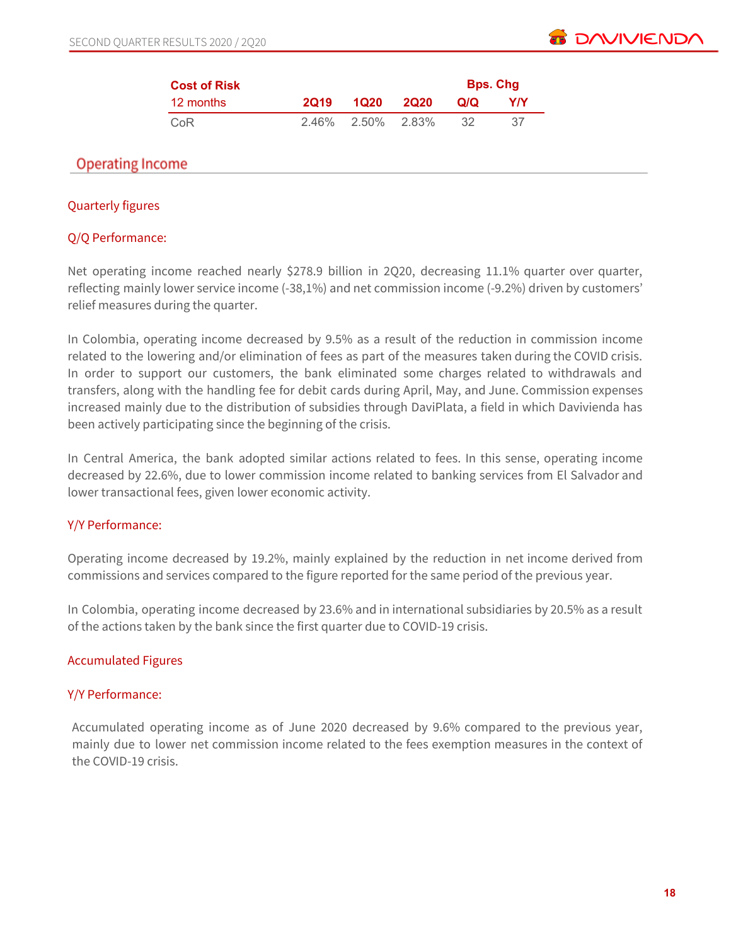

| <b>Cost of Risk</b> |             |                   | <b>Bps. Chg</b> |     |
|---------------------|-------------|-------------------|-----------------|-----|
| 12 months           | <b>2019</b> | 1020 2020         | O/O             | YIY |
| CoR                 |             | 2.46% 2.50% 2.83% | -32             | -37 |

# **Operating Income**

#### Quarterly figures

#### Q/Q Performance:

Net operating income reached nearly \$278.9 billion in 2Q20, decreasing 11.1% quarter over quarter, reflecting mainly lower service income (-38,1%) and net commission income (-9.2%) driven by customers' relief measures during the quarter.

In Colombia, operating income decreased by 9.5% as a result of the reduction in commission income related to the lowering and/or elimination of fees as part of the measures taken during the COVID crisis. In order to support our customers, the bank eliminated some charges related to withdrawals and transfers, along with the handling fee for debit cards during April, May, and June. Commission expenses increased mainly due to the distribution of subsidies through DaviPlata, a field in which Davivienda has been actively participating since the beginning of the crisis.

In Central America, the bank adopted similar actions related to fees. In this sense, operating income decreased by 22.6%, due to lower commission income related to banking services from El Salvador and lower transactional fees, given lower economic activity.

#### Y/Y Performance:

Operating income decreased by 19.2%, mainly explained by the reduction in net income derived from commissions and services compared to the figure reported for the same period of the previous year.

In Colombia, operating income decreased by 23.6% and in international subsidiaries by 20.5% as a result of the actions taken by the bank since the first quarter due to COVID-19 crisis.

# Accumulated Figures

#### Y/Y Performance:

Accumulated operating income as of June 2020 decreased by 9.6% compared to the previous year, mainly due to lower net commission income related to the fees exemption measures in the context of the COVID-19 crisis.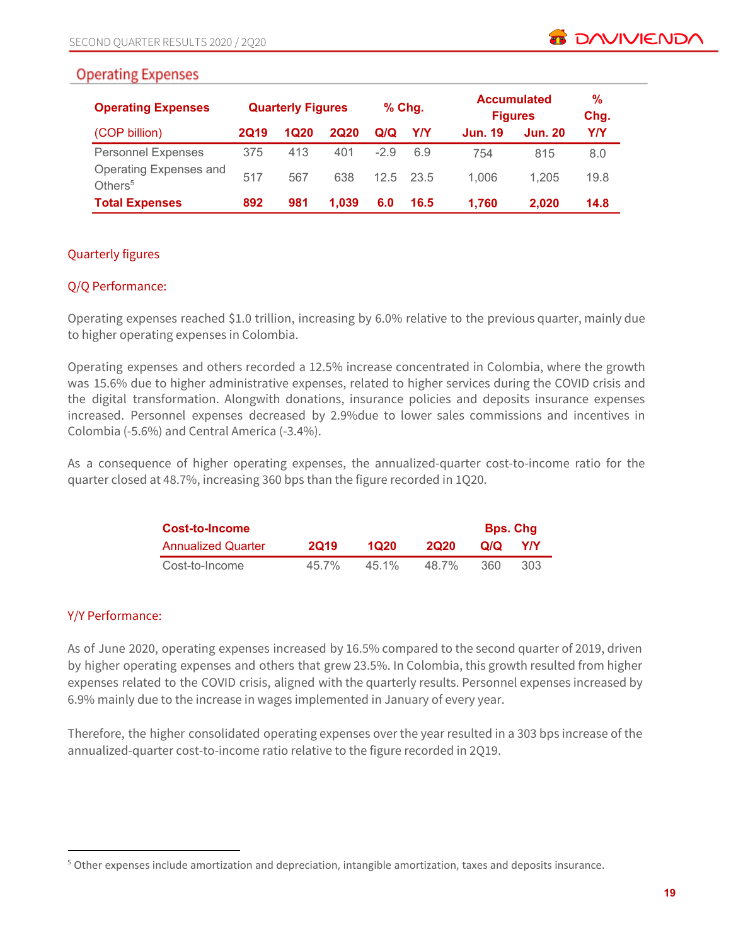# **Operating Expenses**

| <b>Operating Expenses</b>                     |             | <b>Quarterly Figures</b> |             |        | $%$ Chg. |                | <b>Accumulated</b><br><b>Figures</b> | %<br>Chg. |
|-----------------------------------------------|-------------|--------------------------|-------------|--------|----------|----------------|--------------------------------------|-----------|
| (COP billion)                                 | <b>2Q19</b> | <b>1Q20</b>              | <b>2Q20</b> | Q/Q    | Y/Y      | <b>Jun. 19</b> | <b>Jun. 20</b>                       | Y/Y       |
| <b>Personnel Expenses</b>                     | 375         | 413                      | 401         | $-2.9$ | 6.9      | 754            | 815                                  | 8.0       |
| Operating Expenses and<br>Others <sup>5</sup> | 517         | 567                      | 638         | 12.5   | - 23.5   | 1.006          | 1.205                                | 19.8      |
| <b>Total Expenses</b>                         | 892         | 981                      | 1.039       | 6.0    | 16.5     | 1,760          | 2.020                                | 14.8      |

# Quarterly figures

# Q/Q Performance:

Operating expenses reached \$1.0 trillion, increasing by 6.0% relative to the previous quarter, mainly due to higher operating expenses in Colombia.

Operating expenses and others recorded a 12.5% increase concentrated in Colombia, where the growth was 15.6% due to higher administrative expenses, related to higher services during the COVID crisis and the digital transformation. Alongwith donations, insurance policies and deposits insurance expenses increased. Personnel expenses decreased by 2.9%due to lower sales commissions and incentives in Colombia (-5.6%) and Central America (-3.4%).

As a consequence of higher operating expenses, the annualized-quarter cost-to-income ratio for the quarter closed at 48.7%, increasing 360 bps than the figure recorded in 1Q20.

| <b>Cost-to-Income</b>     |             |         |             | <b>Bps. Chg</b> |     |
|---------------------------|-------------|---------|-------------|-----------------|-----|
| <b>Annualized Quarter</b> | <b>2019</b> | 1020    | <b>2020</b> | O/Q             | YIY |
| Cost-to-Income            | $45.7\%$    | $451\%$ | 48.7%       | 360             | 303 |

# Y/Y Performance:

As of June 2020, operating expenses increased by 16.5% compared to the second quarter of 2019, driven by higher operating expenses and others that grew 23.5%. In Colombia, this growth resulted from higher expenses related to the COVID crisis, aligned with the quarterly results. Personnel expenses increased by 6.9% mainly due to the increase in wages implemented in January of every year.

Therefore, the higher consolidated operating expenses over the year resulted in a 303 bps increase of the annualized-quarter cost-to-income ratio relative to the figure recorded in 2Q19.

<sup>5</sup> Other expenses include amortization and depreciation, intangible amortization, taxes and deposits insurance.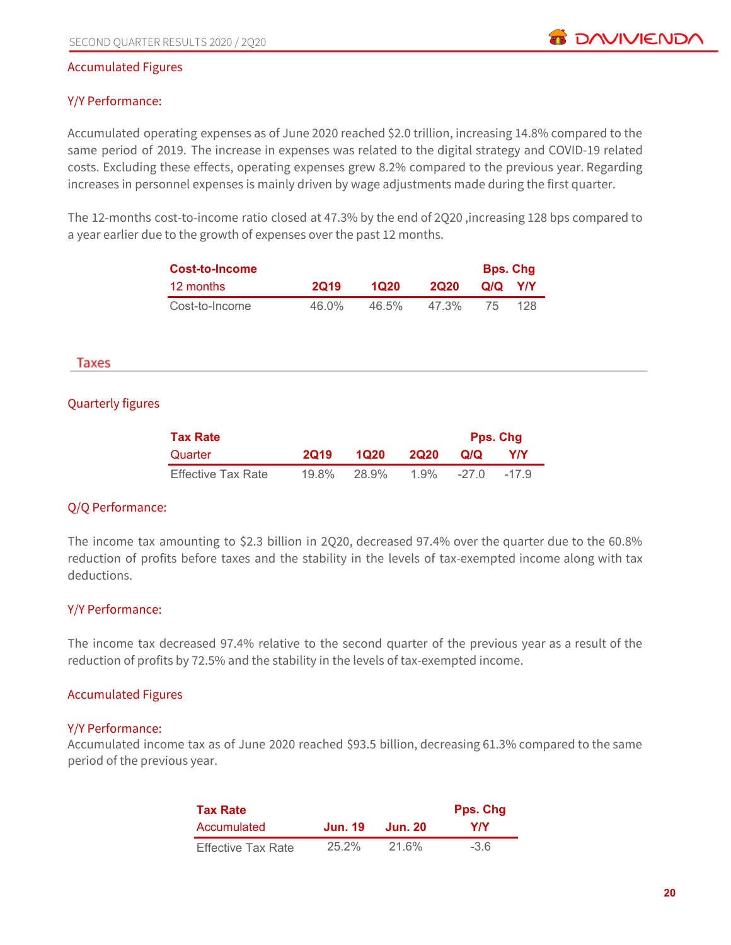#### Accumulated Figures

#### Y/Y Performance:

Accumulated operating expenses as of June 2020 reached \$2.0 trillion, increasing 14.8% compared to the same period of 2019. The increase in expenses was related to the digital strategy and COVID-19 related costs. Excluding these effects, operating expenses grew 8.2% compared to the previous year. Regarding increases in personnel expenses is mainly driven by wage adjustments made during the first quarter.

The 12-months cost-to-income ratio closed at 47.3% by the end of 2Q20 ,increasing 128 bps compared to a year earlier due to the growth of expenses over the past 12 months.

| Cost-to-Income |             |       |             | <b>Bps. Chg</b> |            |
|----------------|-------------|-------|-------------|-----------------|------------|
| 12 months      | <b>2019</b> | 1020  | <b>2020</b> | Q/Q             | <b>YIY</b> |
| Cost-to-Income | 46.0%       | 46.5% | 47.3%       | 75              | 128        |

#### Taxes

#### Quarterly figures

| <b>Tax Rate</b>           |          |       | <b>Pps. Chg</b> |         |        |
|---------------------------|----------|-------|-----------------|---------|--------|
| Quarter                   | 2019     | 1020  | <b>2020</b>     | Q/Q     | Y/Y    |
| <b>Effective Tax Rate</b> | $19.8\%$ | 28.9% | 1.9%            | $-27.0$ | $-179$ |

#### Q/Q Performance:

The income tax amounting to \$2.3 billion in 2Q20, decreased 97.4% over the quarter due to the 60.8% reduction of profits before taxes and the stability in the levels of tax-exempted income along with tax deductions.

#### Y/Y Performance:

The income tax decreased 97.4% relative to the second quarter of the previous year as a result of the reduction of profits by 72.5% and the stability in the levels of tax-exempted income.

#### Accumulated Figures

#### Y/Y Performance:

Accumulated income tax as of June 2020 reached \$93.5 billion, decreasing 61.3% compared to the same period of the previous year.

| <b>Tax Rate</b>           |         |         | Pps. Chg |
|---------------------------|---------|---------|----------|
| Accumulated               | Jun. 19 | Jun. 20 | Y/Y      |
| <b>Effective Tax Rate</b> | 25.2%   | 21.6%   | $-36$    |